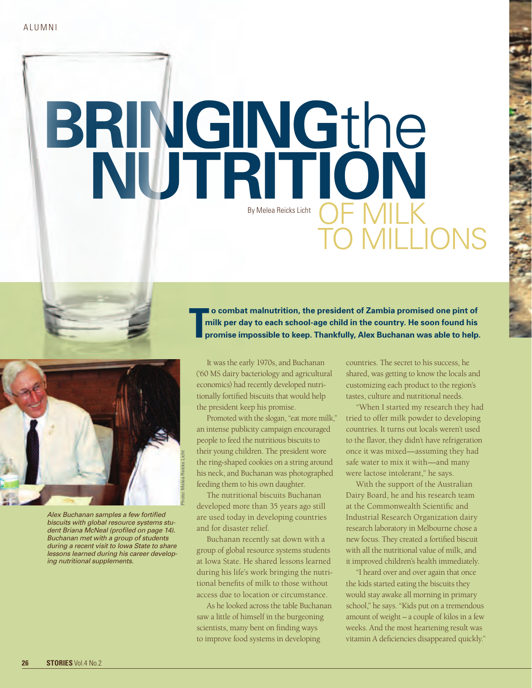## **BRINGING**the  $\blacksquare$ OF MILK to millions By Melea Reicks Licht

Photo: Melea Reicks Licht

*Alex Buchanan samples a few fortified biscuits with global resource systems student Briana McNeal (profiled on page 14). Buchanan met with a group of students during a recent visit to Iowa State to share lessons learned during his career developing nutritional supplements.* 

 **o combat malnutrition, the president of Zambia promised one pint of milk per day to each school-age child in the country. He soon found his Tpromise impossible to keep. Thankfully, Alex Buchanan was able to help.**

It was the early 1970s, and Buchanan ('60 MS dairy bacteriology and agricultural economics) had recently developed nutritionally fortified biscuits that would help the president keep his promise.

Promoted with the slogan, "eat more milk," an intense publicity campaign encouraged people to feed the nutritious biscuits to their young children. The president wore the ring-shaped cookies on a string around his neck, and Buchanan was photographed feeding them to his own daughter.

The nutritional biscuits Buchanan developed more than 35 years ago still are used today in developing countries and for disaster relief.

Buchanan recently sat down with a group of global resource systems students at Iowa State. He shared lessons learned during his life's work bringing the nutritional benefits of milk to those without access due to location or circumstance.

As he looked across the table Buchanan saw a little of himself in the burgeoning scientists, many bent on finding ways to improve food systems in developing

countries. The secret to his success, he shared, was getting to know the locals and customizing each product to the region's tastes, culture and nutritional needs.

"When I started my research they had tried to offer milk powder to developing countries. It turns out locals weren't used to the flavor, they didn't have refrigeration once it was mixed—assuming they had safe water to mix it with—and many were lactose intolerant," he says.

With the support of the Australian Dairy Board, he and his research team at the Commonwealth Scientific and Industrial Research Organization dairy research laboratory in Melbourne chose a new focus. They created a fortified biscuit with all the nutritional value of milk, and it improved children's health immediately.

"I heard over and over again that once the kids started eating the biscuits they would stay awake all morning in primary school," he says. "Kids put on a tremendous amount of weight – a couple of kilos in a few weeks. And the most heartening result was vitamin A deficiencies disappeared quickly."